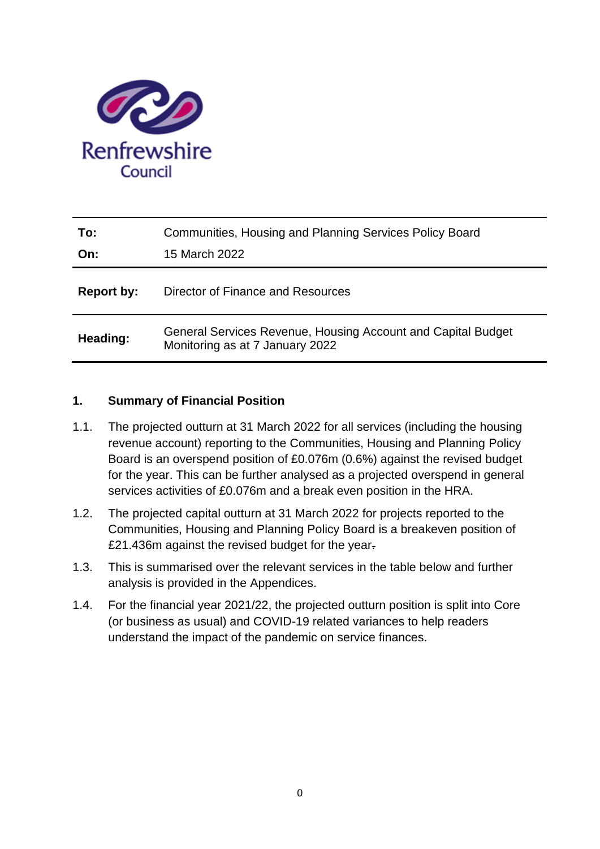

| To:<br>On: | Communities, Housing and Planning Services Policy Board<br>15 March 2022                        |
|------------|-------------------------------------------------------------------------------------------------|
| Report by: | Director of Finance and Resources                                                               |
| Heading:   | General Services Revenue, Housing Account and Capital Budget<br>Monitoring as at 7 January 2022 |

# **1. Summary of Financial Position**

- 1.1. The projected outturn at 31 March 2022 for all services (including the housing revenue account) reporting to the Communities, Housing and Planning Policy Board is an overspend position of £0.076m (0.6%) against the revised budget for the year. This can be further analysed as a projected overspend in general services activities of £0.076m and a break even position in the HRA.
- 1.2. The projected capital outturn at 31 March 2022 for projects reported to the Communities, Housing and Planning Policy Board is a breakeven position of £21.436m against the revised budget for the year.
- 1.3. This is summarised over the relevant services in the table below and further analysis is provided in the Appendices.
- 1.4. For the financial year 2021/22, the projected outturn position is split into Core (or business as usual) and COVID-19 related variances to help readers understand the impact of the pandemic on service finances.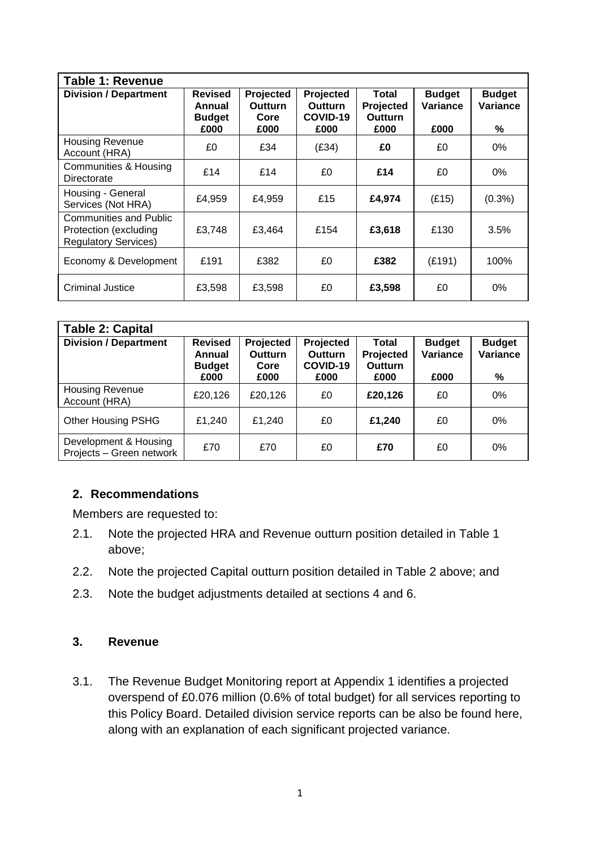| <b>Table 1: Revenue</b>                                                               |                                                   |                                             |                                                 |                                              |                                   |                                |
|---------------------------------------------------------------------------------------|---------------------------------------------------|---------------------------------------------|-------------------------------------------------|----------------------------------------------|-----------------------------------|--------------------------------|
| <b>Division / Department</b>                                                          | <b>Revised</b><br>Annual<br><b>Budget</b><br>£000 | Projected<br><b>Outturn</b><br>Core<br>£000 | Projected<br><b>Outturn</b><br>COVID-19<br>£000 | <b>Total</b><br>Projected<br>Outturn<br>£000 | <b>Budget</b><br>Variance<br>£000 | <b>Budget</b><br>Variance<br>% |
| <b>Housing Revenue</b><br>Account (HRA)                                               | £0                                                | £34                                         | (E34)                                           | £0                                           | £0                                | 0%                             |
| <b>Communities &amp; Housing</b><br>Directorate                                       | £14                                               | £14                                         | £0                                              | £14                                          | £0                                | $0\%$                          |
| Housing - General<br>Services (Not HRA)                                               | £4,959                                            | £4,959                                      | £15                                             | £4,974                                       | (E15)                             | $(0.3\%)$                      |
| <b>Communities and Public</b><br>Protection (excluding<br><b>Regulatory Services)</b> | £3.748                                            | £3.464                                      | £154                                            | £3,618                                       | £130                              | 3.5%                           |
| Economy & Development                                                                 | £191                                              | £382                                        | £0                                              | £382                                         | (E191)                            | 100%                           |
| <b>Criminal Justice</b>                                                               | £3,598                                            | £3,598                                      | £0                                              | £3,598                                       | £0                                | 0%                             |

| <b>Table 2: Capital</b>                           |                                                   |                                             |                                                 |                                              |                                   |                                |
|---------------------------------------------------|---------------------------------------------------|---------------------------------------------|-------------------------------------------------|----------------------------------------------|-----------------------------------|--------------------------------|
| <b>Division / Department</b>                      | <b>Revised</b><br>Annual<br><b>Budget</b><br>£000 | Projected<br><b>Outturn</b><br>Core<br>£000 | Projected<br><b>Outturn</b><br>COVID-19<br>£000 | <b>Total</b><br>Projected<br>Outturn<br>£000 | <b>Budget</b><br>Variance<br>£000 | <b>Budget</b><br>Variance<br>% |
| <b>Housing Revenue</b><br>Account (HRA)           | £20,126                                           | £20,126                                     | £0                                              | £20,126                                      | £0                                | 0%                             |
| <b>Other Housing PSHG</b>                         | £1,240                                            | £1,240                                      | £0                                              | £1,240                                       | £0                                | 0%                             |
| Development & Housing<br>Projects - Green network | £70                                               | £70                                         | £0                                              | £70                                          | £0                                | 0%                             |

# **2. Recommendations**

Members are requested to:

- 2.1. Note the projected HRA and Revenue outturn position detailed in Table 1 above;
- 2.2. Note the projected Capital outturn position detailed in Table 2 above; and
- 2.3. Note the budget adjustments detailed at sections 4 and 6.

# **3. Revenue**

3.1. The Revenue Budget Monitoring report at Appendix 1 identifies a projected overspend of £0.076 million (0.6% of total budget) for all services reporting to this Policy Board. Detailed division service reports can be also be found here, along with an explanation of each significant projected variance.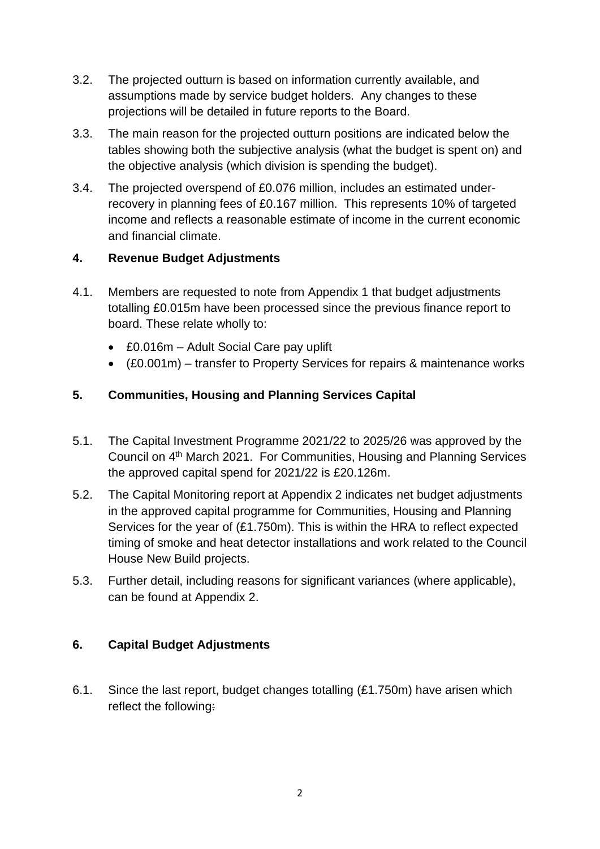- 3.2. The projected outturn is based on information currently available, and assumptions made by service budget holders. Any changes to these projections will be detailed in future reports to the Board.
- 3.3. The main reason for the projected outturn positions are indicated below the tables showing both the subjective analysis (what the budget is spent on) and the objective analysis (which division is spending the budget).
- 3.4. The projected overspend of £0.076 million, includes an estimated underrecovery in planning fees of £0.167 million. This represents 10% of targeted income and reflects a reasonable estimate of income in the current economic and financial climate.

# **4. Revenue Budget Adjustments**

- 4.1. Members are requested to note from Appendix 1 that budget adjustments totalling £0.015m have been processed since the previous finance report to board. These relate wholly to:
	- £0.016m Adult Social Care pay uplift
	- (£0.001m) transfer to Property Services for repairs & maintenance works

# **5. Communities, Housing and Planning Services Capital**

- 5.1. The Capital Investment Programme 2021/22 to 2025/26 was approved by the Council on 4<sup>th</sup> March 2021. For Communities, Housing and Planning Services the approved capital spend for 2021/22 is £20.126m.
- 5.2. The Capital Monitoring report at Appendix 2 indicates net budget adjustments in the approved capital programme for Communities, Housing and Planning Services for the year of (£1.750m). This is within the HRA to reflect expected timing of smoke and heat detector installations and work related to the Council House New Build projects.
- 5.3. Further detail, including reasons for significant variances (where applicable), can be found at Appendix 2.

# **6. Capital Budget Adjustments**

6.1. Since the last report, budget changes totalling (£1.750m) have arisen which reflect the following: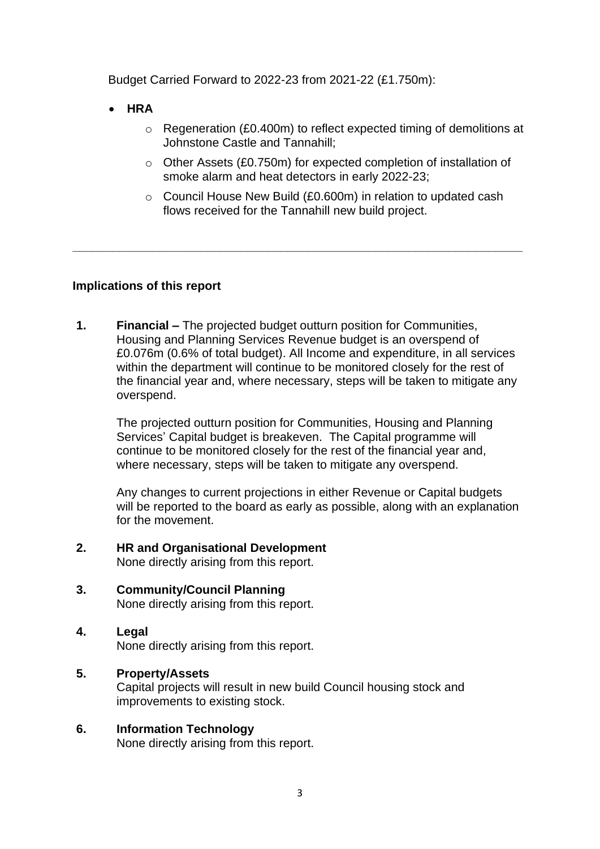Budget Carried Forward to 2022-23 from 2021-22 (£1.750m):

- **HRA**
	- o Regeneration (£0.400m) to reflect expected timing of demolitions at Johnstone Castle and Tannahill;
	- o Other Assets (£0.750m) for expected completion of installation of smoke alarm and heat detectors in early 2022-23;
	- o Council House New Build (£0.600m) in relation to updated cash flows received for the Tannahill new build project.

# **Implications of this report**

**1. Financial –** The projected budget outturn position for Communities, Housing and Planning Services Revenue budget is an overspend of £0.076m (0.6% of total budget). All Income and expenditure, in all services within the department will continue to be monitored closely for the rest of the financial year and, where necessary, steps will be taken to mitigate any overspend.

**\_\_\_\_\_\_\_\_\_\_\_\_\_\_\_\_\_\_\_\_\_\_\_\_\_\_\_\_\_\_\_\_\_\_\_\_\_\_\_\_\_\_\_\_\_\_\_\_\_\_\_\_\_\_\_\_\_\_\_\_\_\_\_\_\_\_\_**

The projected outturn position for Communities, Housing and Planning Services' Capital budget is breakeven. The Capital programme will continue to be monitored closely for the rest of the financial year and, where necessary, steps will be taken to mitigate any overspend.

Any changes to current projections in either Revenue or Capital budgets will be reported to the board as early as possible, along with an explanation for the movement.

- **2. HR and Organisational Development** None directly arising from this report.
- **3. Community/Council Planning** None directly arising from this report.
- **4. Legal**  None directly arising from this report.

# **5. Property/Assets**

Capital projects will result in new build Council housing stock and improvements to existing stock.

# **6. Information Technology**

None directly arising from this report.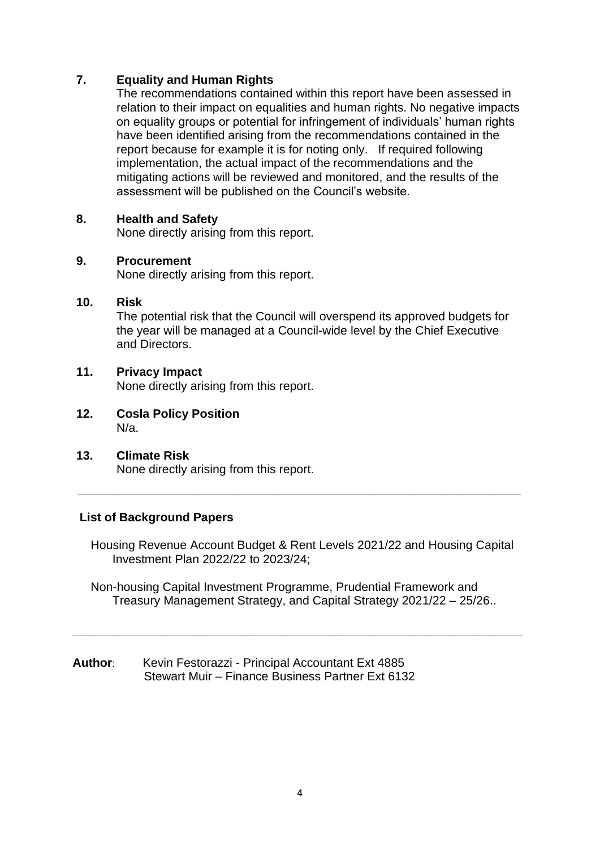# **7. Equality and Human Rights**

The recommendations contained within this report have been assessed in relation to their impact on equalities and human rights. No negative impacts on equality groups or potential for infringement of individuals' human rights have been identified arising from the recommendations contained in the report because for example it is for noting only. If required following implementation, the actual impact of the recommendations and the mitigating actions will be reviewed and monitored, and the results of the assessment will be published on the Council's website.

# **8. Health and Safety**

None directly arising from this report.

### **9. Procurement**

None directly arising from this report.

# **10. Risk**

The potential risk that the Council will overspend its approved budgets for the year will be managed at a Council-wide level by the Chief Executive and Directors.

# **11. Privacy Impact**

None directly arising from this report.

- **12. Cosla Policy Position** N/a.
- **13. Climate Risk** None directly arising from this report.

# **List of Background Papers**

Housing Revenue Account Budget & Rent Levels 2021/22 and Housing Capital Investment Plan 2022/22 to 2023/24;

**\_\_\_\_\_\_\_\_\_\_\_\_\_\_\_\_\_\_\_\_\_\_\_\_\_\_\_\_\_\_\_\_\_\_\_\_\_\_\_\_\_\_\_\_\_\_\_\_\_\_\_\_\_\_\_\_\_\_\_\_\_\_\_\_\_\_**

Non-housing Capital Investment Programme, Prudential Framework and Treasury Management Strategy, and Capital Strategy 2021/22 – 25/26..

**\_\_\_\_\_\_\_\_\_\_\_\_\_\_\_\_\_\_\_\_\_\_\_\_\_\_\_\_\_\_\_\_\_\_\_\_\_\_\_\_\_\_\_\_\_\_\_\_\_\_\_\_\_\_\_\_\_\_\_\_\_\_\_\_\_\_\_**

**Author**: Kevin Festorazzi - Principal Accountant Ext 4885 Stewart Muir – Finance Business Partner Ext 6132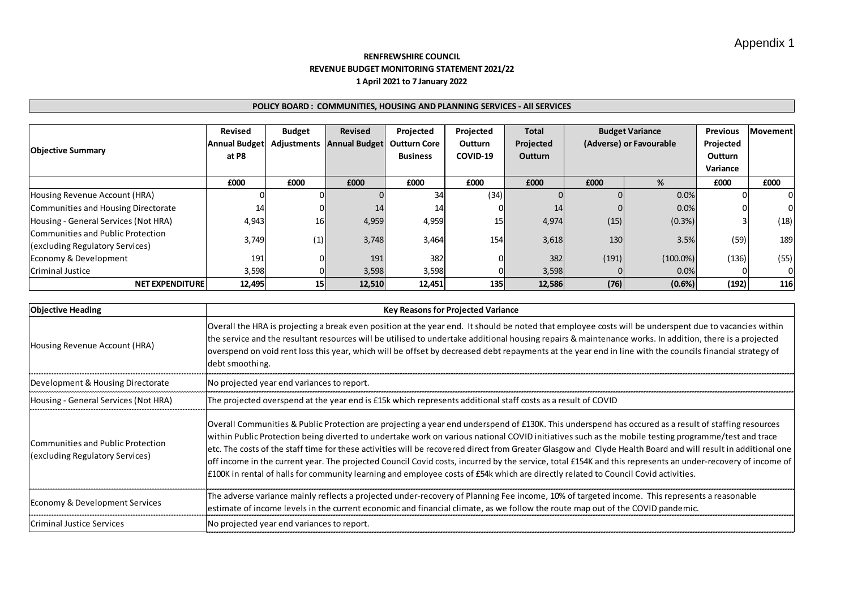### **RENFREWSHIRE COUNCIL REVENUE BUDGET MONITORING STATEMENT 2021/22 1 April 2021 to 7 January 2022**

| POLICY BOARD: COMMUNITIES, HOUSING AND PLANNING SERVICES - All SERVICES |                      |               |                                  |                     |                 |              |       |                         |                 |                 |  |     |
|-------------------------------------------------------------------------|----------------------|---------------|----------------------------------|---------------------|-----------------|--------------|-------|-------------------------|-----------------|-----------------|--|-----|
|                                                                         |                      |               |                                  |                     |                 |              |       |                         |                 |                 |  |     |
|                                                                         | Revised              | <b>Budget</b> | Revised                          | Projected           | Projected       | <b>Total</b> |       | <b>Budget Variance</b>  | <b>Previous</b> | <b>Movement</b> |  |     |
|                                                                         | <b>Annual Budget</b> |               | <b>Adjustments Annual Budget</b> | <b>Outturn Core</b> | <b>Outturn</b>  | Projected    |       | (Adverse) or Favourable | Projected       |                 |  |     |
| <b>Objective Summary</b>                                                | at P8                |               |                                  | <b>Business</b>     | COVID-19        | Outturn      |       |                         | Outturn         |                 |  |     |
|                                                                         |                      |               |                                  |                     |                 |              |       |                         | Variance        |                 |  |     |
|                                                                         | £000                 | £000          | £000                             | £000                | £000            | £000         | £000  | %                       | £000            | £000            |  |     |
| Housing Revenue Account (HRA)                                           |                      |               |                                  | 34                  | (34)            |              |       | 0.0%                    |                 |                 |  |     |
| Communities and Housing Directorate                                     | 14                   |               | 14                               | 14                  |                 | 14           |       | 0.0%                    |                 |                 |  |     |
| Housing - General Services (Not HRA)                                    | 4,943                | 16            | 4,959                            | 4,959               | 15 <sub>l</sub> | 4,974        | (15)  | (0.3%)                  |                 | (18)            |  |     |
| Communities and Public Protection                                       | 3,749                |               |                                  |                     | 3,748           |              | 154   |                         |                 | 3.5%            |  | 189 |
| (excluding Regulatory Services)                                         |                      | (1)           |                                  | 3,464               |                 | 3,618        | 130   |                         | (59)            |                 |  |     |
| Economy & Development                                                   | 191                  |               | 191                              | 382                 | 0               | 382          | (191) | $(100.0\%)$             | (136)           | (55)            |  |     |
| <b>Criminal Justice</b>                                                 | 3,598                |               | 3,598                            | 3,598               | ი               | 3,598        |       | 0.0%                    |                 |                 |  |     |
| <b>NET EXPENDITURE</b>                                                  | 12,495               | 15            | 12,510                           | 12,451              | 135             | 12,586       | (76)  | $(0.6\%)$               | (192)           | 116             |  |     |

| <b>Objective Heading</b>                                             | <b>Key Reasons for Projected Variance</b>                                                                                                                                                                                                                                                                                                                                                                                                                                                                                                                                                                                                                                                                                                                                       |
|----------------------------------------------------------------------|---------------------------------------------------------------------------------------------------------------------------------------------------------------------------------------------------------------------------------------------------------------------------------------------------------------------------------------------------------------------------------------------------------------------------------------------------------------------------------------------------------------------------------------------------------------------------------------------------------------------------------------------------------------------------------------------------------------------------------------------------------------------------------|
| Housing Revenue Account (HRA)                                        | Overall the HRA is projecting a break even position at the year end. It should be noted that employee costs will be underspent due to vacancies within<br>the service and the resultant resources will be utilised to undertake additional housing repairs & maintenance works. In addition, there is a projected<br>overspend on void rent loss this year, which will be offset by decreased debt repayments at the year end in line with the councils financial strategy of<br>debt smoothing.                                                                                                                                                                                                                                                                                |
| Development & Housing Directorate                                    | No projected year end variances to report.                                                                                                                                                                                                                                                                                                                                                                                                                                                                                                                                                                                                                                                                                                                                      |
| Housing - General Services (Not HRA)                                 | The projected overspend at the year end is £15k which represents additional staff costs as a result of COVID                                                                                                                                                                                                                                                                                                                                                                                                                                                                                                                                                                                                                                                                    |
| Communities and Public Protection<br>(excluding Regulatory Services) | Overall Communities & Public Protection are projecting a year end underspend of £130K. This underspend has occured as a result of staffing resources<br>within Public Protection being diverted to undertake work on various national COVID initiatives such as the mobile testing programme/test and trace<br>etc. The costs of the staff time for these activities will be recovered direct from Greater Glasgow and Clyde Health Board and will result in additional one<br>off income in the current year. The projected Council Covid costs, incurred by the service, total £154K and this represents an under-recovery of income of<br>£100K in rental of halls for community learning and employee costs of £54k which are directly related to Council Covid activities. |
| Economy & Development Services                                       | The adverse variance mainly reflects a projected under-recovery of Planning Fee income, 10% of targeted income. This represents a reasonable<br>estimate of income levels in the current economic and financial climate, as we follow the route map out of the COVID pandemic.                                                                                                                                                                                                                                                                                                                                                                                                                                                                                                  |
| Criminal Justice Services                                            | No projected year end variances to report.                                                                                                                                                                                                                                                                                                                                                                                                                                                                                                                                                                                                                                                                                                                                      |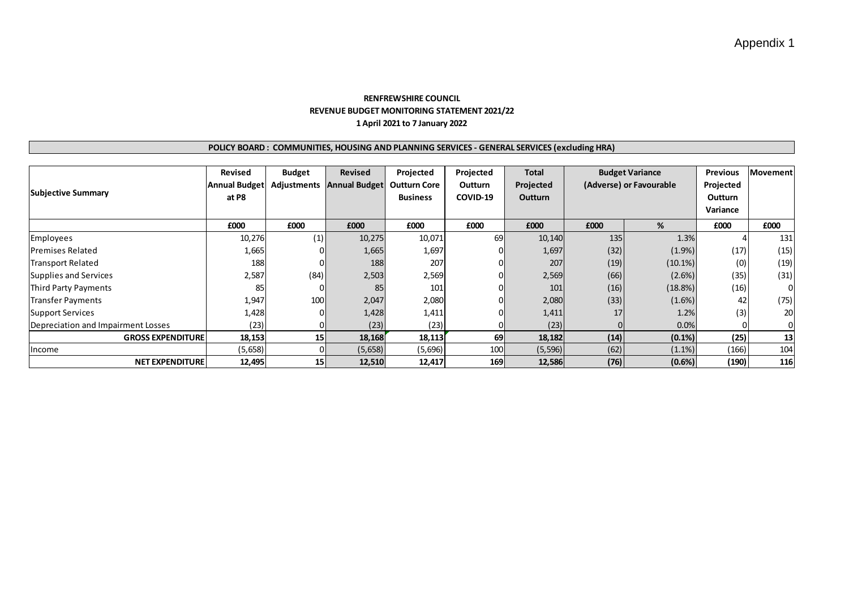### **RENFREWSHIRE COUNCIL REVENUE BUDGET MONITORING STATEMENT 2021/22 1 April 2021 to 7 January 2022**

### **POLICY BOARD : COMMUNITIES, HOUSING AND PLANNING SERVICES - GENERAL SERVICES (excluding HRA)**

| <b>Subjective Summary</b>          | <b>Revised</b><br><b>Annual Budget</b><br>at P8 | <b>Budget</b> | Revised<br>Adjustments Annual Budget | Projected<br><b>Outturn Core</b><br><b>Business</b> | Projected<br><b>Outturn</b><br>COVID-19 | Total<br>Projected<br><b>Outturn</b> | <b>Budget Variance</b><br>(Adverse) or Favourable |            | <b>Previous</b><br>Projected<br><b>Outturn</b><br>Variance | <b>Movement</b> |
|------------------------------------|-------------------------------------------------|---------------|--------------------------------------|-----------------------------------------------------|-----------------------------------------|--------------------------------------|---------------------------------------------------|------------|------------------------------------------------------------|-----------------|
|                                    | £000                                            | £000          | £000                                 | £000                                                | £000                                    | £000                                 | £000                                              | %          | £000                                                       | £000            |
| Employees                          | 10,276                                          | (1)           | 10,275                               | 10,071                                              | 69                                      | 10,140                               | 135                                               | 1.3%       |                                                            | 131             |
| <b>IPremises Related</b>           | 1,665                                           |               | 1,665                                | 1,697                                               |                                         | 1,697                                | (32)                                              | $(1.9\%)$  | (17)                                                       | (15)            |
| <b>Transport Related</b>           | 188                                             |               | 188                                  | 207                                                 |                                         | 207                                  | (19)                                              | $(10.1\%)$ | (0)                                                        | (19)            |
| Supplies and Services              | 2,587                                           | (84)          | 2,503                                | 2,569                                               |                                         | 2,569                                | (66)                                              | $(2.6\%)$  | (35)                                                       | (31)            |
| Third Party Payments               | 85                                              |               | 85                                   | 101                                                 |                                         | 101                                  | (16)                                              | (18.8%)    | (16)                                                       | ΟI              |
| <b>Transfer Payments</b>           | 1,947                                           | 100           | 2,047                                | 2,080                                               |                                         | 2,080                                | (33)                                              | $(1.6\%)$  | 42                                                         | (75)            |
| Support Services                   | 1,428                                           |               | 1,428                                | 1,411                                               |                                         | 1,411                                | 17                                                | 1.2%       | (3)                                                        | 20              |
| Depreciation and Impairment Losses | (23)                                            |               | (23)                                 | (23)                                                |                                         | (23)                                 |                                                   | 0.0%       |                                                            | ΩI              |
| <b>GROSS EXPENDITURE</b>           | 18,153                                          | 15            | 18,168                               | 18,113                                              | 69                                      | 18,182                               | (14)                                              | $(0.1\%)$  | (25)                                                       | 13              |
| <b>Income</b>                      | (5,658)                                         |               | (5,658)                              | (5,696)                                             | 100                                     | (5, 596)                             | (62)                                              | $(1.1\%)$  | (166)                                                      | 104             |
| <b>NET EXPENDITURE</b>             | 12,495                                          | 15            | 12,510                               | 12,417                                              | 169                                     | 12,586                               | (76)                                              | (0.6%)     | (190)                                                      | 116             |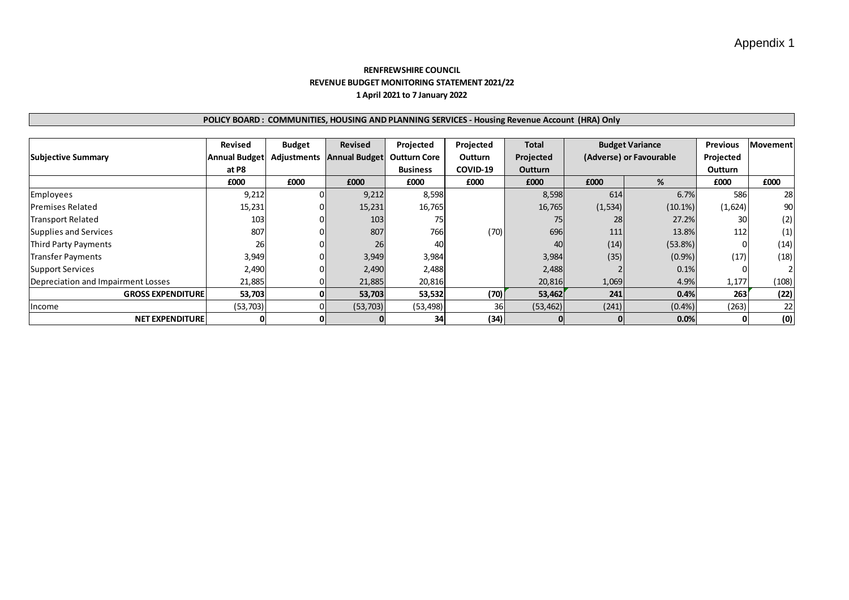# Appendix 1

### **RENFREWSHIRE COUNCIL REVENUE BUDGET MONITORING STATEMENT 2021/22 1 April 2021 to 7 January 2022**

### **POLICY BOARD : COMMUNITIES, HOUSING AND PLANNING SERVICES - Housing Revenue Account (HRA) Only**

|                                    | Revised              | <b>Budget</b> | <b>Revised</b>            | Projected           | Projected      | <b>Total</b> |          | <b>Budget Variance</b>  | <b>Previous</b> | <b>Movement</b> |
|------------------------------------|----------------------|---------------|---------------------------|---------------------|----------------|--------------|----------|-------------------------|-----------------|-----------------|
| <b>Subjective Summary</b>          | <b>Annual Budget</b> |               | Adjustments Annual Budget | <b>Outturn Core</b> | <b>Outturn</b> | Projected    |          | (Adverse) or Favourable | Projected       |                 |
|                                    | at P8                |               |                           | <b>Business</b>     | COVID-19       | Outturn      |          |                         | Outturn         |                 |
|                                    | £000                 | £000          | £000                      | £000                | £000           | £000         | £000     | %                       | £000            | £000            |
| Employees                          | 9,212                |               | 9,212                     | 8,598               |                | 8,598        | 614      | 6.7%                    | 586             | 28              |
| <b>IPremises Related</b>           | 15,231               |               | 15,231                    | 16,765              |                | 16,765       | (1, 534) | $(10.1\%)$              | (1,624)         | 90              |
| <b>Transport Related</b>           | 103                  |               | 103                       | 75                  |                | 75           | 28       | 27.2%                   | 30 <sup>1</sup> | (2)             |
| Supplies and Services              | 807                  |               | 807                       | 766                 | (70)           | 696          | 111      | 13.8%                   | 112             | (1)             |
| Third Party Payments               | 26                   |               | 26                        | 40                  |                | 40           | (14)     | (53.8%)                 | $\Omega$        | (14)            |
| Transfer Payments                  | 3,949                |               | 3,949                     | 3,984               |                | 3,984        | (35)     | (0.9%                   | (17)            | (18)            |
| Support Services                   | 2,490                |               | 2,490                     | 2,488               |                | 2,488        |          | 0.1%                    |                 |                 |
| Depreciation and Impairment Losses | 21,885               |               | 21,885                    | 20,816              |                | 20,816       | 1,069    | 4.9%                    | 1,177           | (108)           |
| <b>GROSS EXPENDITURE</b>           | 53,703               |               | 53,703                    | 53,532              | (70)           | 53,462       | 241      | 0.4%                    | 263             | (22)            |
| <b>Income</b>                      | (53, 703)            |               | (53, 703)                 | (53, 498)           | 36             | (53, 462)    | (241)    | (0.4% )                 | (263)           | 22              |
| <b>NET EXPENDITURE</b>             |                      | 0             |                           | 34                  | (34)           |              |          | 0.0%                    |                 | (0)             |